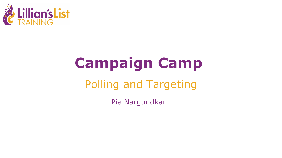

# **Campaign Camp**

### Polling and Targeting

Pia Nargundkar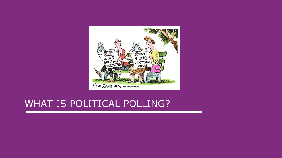

#### WHAT IS POLITICAL POLLING?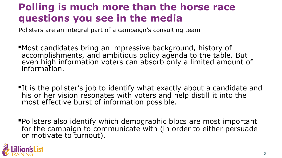#### **Polling is much more than the horse race questions you see in the media**

Pollsters are an integral part of a campaign's consulting team

- ▪Most candidates bring an impressive background, history of accomplishments, and ambitious policy agenda to the table. But even high information voters can absorb only a limited amount of information.
- **If is the pollster's job to identify what exactly about a candidate and** his or her vision resonates with voters and help distill it into the most effective burst of information possible.
- ▪Pollsters also identify which demographic blocs are most important for the campaign to communicate with (in order to either persuade or motivate to turnout).

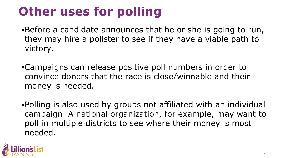## **Other uses for polling**

- .Before a candidate announces that he or she is going to run, they may hire a pollster to see if they have a viable path to victory.
- ▪Campaigns can release positive poll numbers in order to convince donors that the race is close/winnable and their money is needed.
- ▪Polling is also used by groups not affiliated with an individual campaign. A national organization, for example, may want to poll in multiple districts to see where their money is most needed.

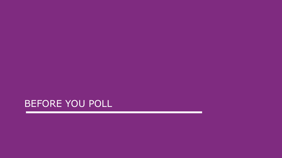BEFORE YOU POLL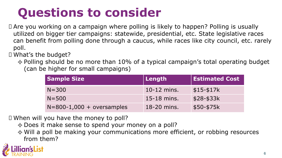## **Questions to consider**

- Are you working on a campaign where polling is likely to happen? Polling is usually utilized on bigger tier campaigns: statewide, presidential, etc. State legislative races can benefit from polling done through a caucus, while races like city council, etc. rarely poll.
- What's the budget?
	- $\diamond$  Polling should be no more than 10% of a typical campaign's total operating budget (can be higher for small campaigns)

| <b>Sample Size</b>          | $\vert$ Length | <b>Estimated Cost</b> |
|-----------------------------|----------------|-----------------------|
| $N = 300$                   | $10-12$ mins.  | $$15-$17k$            |
| $N = 500$                   | $15-18$ mins.  | $$28-$33k$            |
| $N=800-1,000 + oversamples$ | 18-20 mins.    | \$50-\$75k            |

When will you have the money to poll?

✧ Does it make sense to spend your money on a poll?

✧ Will a poll be making your communications more efficient, or robbing resources from them?

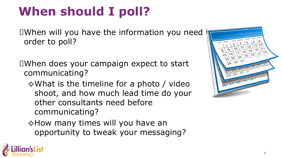## **When should I poll?**

 $\square$ When will you have the information you need order to poll?

When does your campaign expect to start communicating?

✧What is the timeline for a photo / video shoot, and how much lead time do your other consultants need before communicating?

✧How many times will you have an opportunity to tweak your messaging?



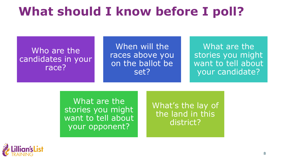### **What should I know before I poll?**

#### Who are the candidates in your race?

When will the races above you on the ballot be set?

What are the stories you might want to tell about your candidate?

What are the stories you might want to tell about your opponent?

What's the lay of the land in this district?

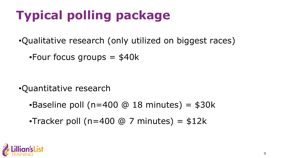## **Typical polling package**

•Qualitative research (only utilized on biggest races)

 $\text{-}$ Four focus groups  $=$  \$40k

•Quantitative research

 $-Baseline$  poll (n=400  $@$  18 minutes) = \$30k

**•Tracker poll (n=400 @ 7 minutes) =**  $$12k$ 

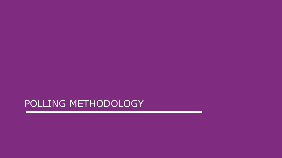#### POLLING METHODOLOGY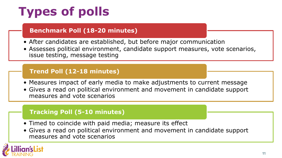## **Types of polls**

#### **Benchmark Poll (18-20 minutes)**

- After candidates are established, but before major communication
- Assesses political environment, candidate support measures, vote scenarios, issue testing, message testing

#### **Trend Poll (12-18 minutes)**

- Measures impact of early media to make adjustments to current message
- Gives a read on political environment and movement in candidate support measures and vote scenarios

#### **Tracking Poll (5-10 minutes)**

- Timed to coincide with paid media; measure its effect
- Gives a read on political environment and movement in candidate support measures and vote scenarios

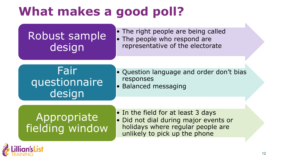## **What makes a good poll?**

#### Robust sample design

• The right people are being called • The people who respond are representative of the electorate

#### Fair questionnaire design

- Question language and order don't bias responses
- Balanced messaging

#### Appropriate fielding window

• In the field for at least 3 days • Did not dial during major events or holidays where regular people are unlikely to pick up the phone

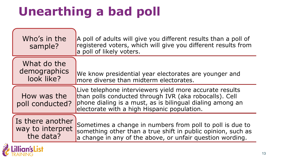## **Unearthing a bad poll**

NG

| Who's in the<br>sample?                           | A poll of adults will give you different results than a poll of<br>registered voters, which will give you different results from<br>a poll of likely voters.                                                                  |
|---------------------------------------------------|-------------------------------------------------------------------------------------------------------------------------------------------------------------------------------------------------------------------------------|
| What do the<br>demographics<br>look like?         | We know presidential year electorates are younger and<br>more diverse than midterm electorates.                                                                                                                               |
| How was the<br>poll conducted?                    | Live telephone interviewers yield more accurate results<br>than polls conducted through IVR (aka robocalls). Cell<br>phone dialing is a must, as is bilingual dialing among an<br>electorate with a high Hispanic population. |
| Is there another<br>way to interpret<br>the data? | Sometimes a change in numbers from poll to poll is due to<br>something other than a true shift in public opinion, such as<br>a change in any of the above, or unfair question wording.                                        |
| <b>Lillian's List</b>                             |                                                                                                                                                                                                                               |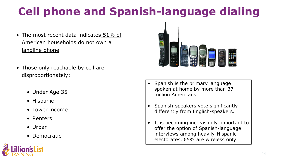## **Cell phone and Spanish-language dialing**

- The most recent data indicates 51% of American households do not own a landline phone
- Those only reachable by cell are disproportionately:
	- Under Age 35
	- Hispanic
	- Lower income
	- Renters
	- Urban
	- Democratic



- Spanish is the primary language spoken at home by more than 37 million Americans.
- Spanish-speakers vote significantly differently from English-speakers.
- It is becoming increasingly important to offer the option of Spanish-language interviews among heavily-Hispanic electorates. 65% are wireless only.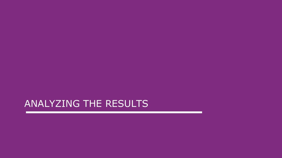#### ANALYZING THE RESULTS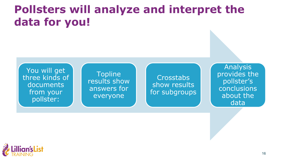### **Pollsters will analyze and interpret the data for you!**

You will get three kinds of documents from your pollster:

**Topline** results show answers for everyone

**Crosstabs** show results for subgroups

Analysis provides the pollster's conclusions about the data

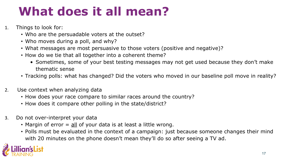## **What does it all mean?**

- 1. Things to look for:
	- Who are the persuadable voters at the outset?
	- Who moves during a poll, and why?
	- What messages are most persuasive to those voters (positive and negative)?
	- How do we tie that all together into a coherent theme?
		- Sometimes, some of your best testing messages may not get used because they don't make thematic sense
	- Tracking polls: what has changed? Did the voters who moved in our baseline poll move in reality?
- 2. Use context when analyzing data
	- How does your race compare to similar races around the country?
	- How does it compare other polling in the state/district?
- 3. Do not over-interpret your data
	- Margin of error  $=$  all of your data is at least a little wrong.
	- Polls must be evaluated in the context of a campaign: just because someone changes their mind with 20 minutes on the phone doesn't mean they'll do so after seeing a TV ad.

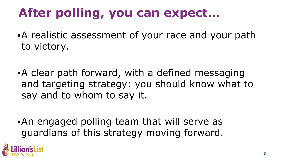## **After polling, you can expect…**

- **A** realistic assessment of your race and your path to victory.
- **A** clear path forward, with a defined messaging and targeting strategy: you should know what to say and to whom to say it.
- **An engaged polling team that will serve as** guardians of this strategy moving forward.

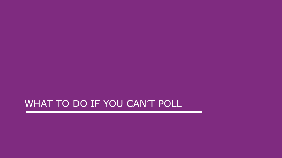#### WHAT TO DO IF YOU CAN'T POLL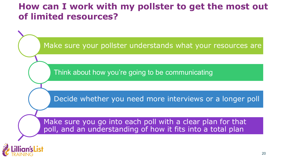#### **How can I work with my pollster to get the most out of limited resources?**

Make sure your pollster understands what your resources are

Think about how you're going to be communicating

Decide whether you need more interviews or a longer poll

Make sure you go into each poll with a clear plan for that poll, and an understanding of how it fits into a total plan

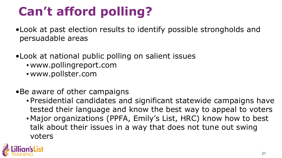## **Can't afford polling?**

- •Look at past election results to identify possible strongholds and persuadable areas
- •Look at national public polling on salient issues
	- www.pollingreport.com
	- www.pollster.com
- •Be aware of other campaigns
	- Presidential candidates and significant statewide campaigns have tested their language and know the best way to appeal to voters
	- Major organizations (PPFA, Emily's List, HRC) know how to best talk about their issues in a way that does not tune out swing voters